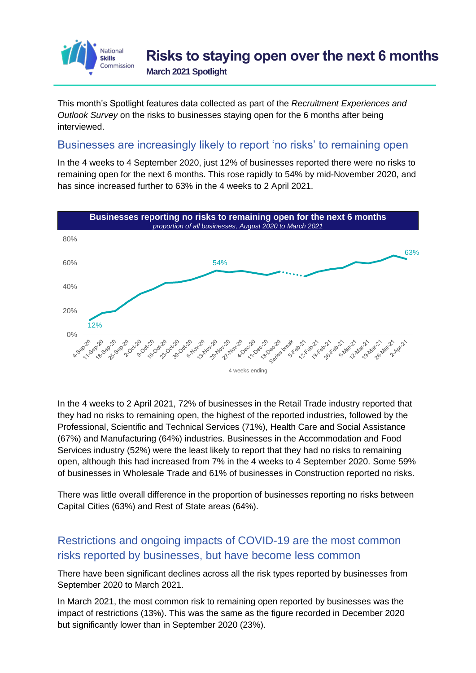

This month's Spotlight features data collected as part of the *Recruitment Experiences and Outlook Survey* on the risks to businesses staying open for the 6 months after being interviewed.

## Businesses are increasingly likely to report 'no risks' to remaining open

In the 4 weeks to 4 September 2020, just 12% of businesses reported there were no risks to remaining open for the next 6 months. This rose rapidly to 54% by mid-November 2020, and has since increased further to 63% in the 4 weeks to 2 April 2021.



In the 4 weeks to 2 April 2021, 72% of businesses in the Retail Trade industry reported that they had no risks to remaining open, the highest of the reported industries, followed by the Professional, Scientific and Technical Services (71%), Health Care and Social Assistance (67%) and Manufacturing (64%) industries. Businesses in the Accommodation and Food Services industry (52%) were the least likely to report that they had no risks to remaining open, although this had increased from 7% in the 4 weeks to 4 September 2020. Some 59% of businesses in Wholesale Trade and 61% of businesses in Construction reported no risks.

There was little overall difference in the proportion of businesses reporting no risks between Capital Cities (63%) and Rest of State areas (64%).

## Restrictions and ongoing impacts of COVID-19 are the most common risks reported by businesses, but have become less common

There have been significant declines across all the risk types reported by businesses from September 2020 to March 2021.

In March 2021, the most common risk to remaining open reported by businesses was the impact of restrictions (13%). This was the same as the figure recorded in December 2020 but significantly lower than in September 2020 (23%).